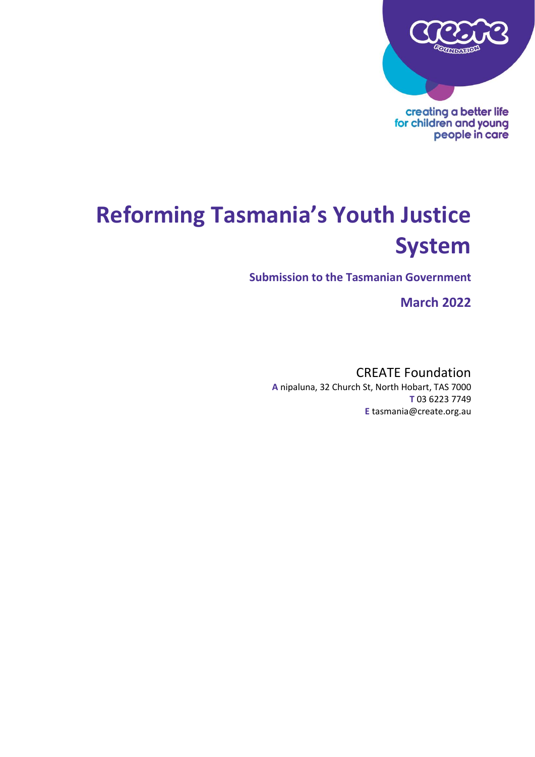

**Reforming Tasmania's Youth Justice System**

**Submission to the Tasmanian Government**

**March 2022**

CREATE Foundation **A** nipaluna, 32 Church St, North Hobart, TAS 7000 **T** 03 6223 7749 **E** tasmania@create.org.au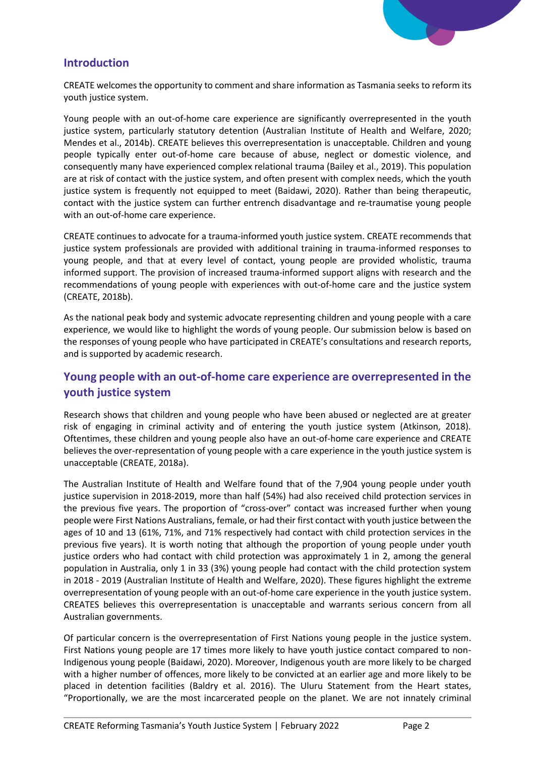

### **Introduction**

CREATE welcomes the opportunity to comment and share information as Tasmania seeks to reform its youth justice system.

Young people with an out-of-home care experience are significantly overrepresented in the youth justice system, particularly statutory detention (Australian Institute of Health and Welfare, 2020; Mendes et al., 2014b). CREATE believes this overrepresentation is unacceptable. Children and young people typically enter out-of-home care because of abuse, neglect or domestic violence, and consequently many have experienced complex relational trauma (Bailey et al., 2019). This population are at risk of contact with the justice system, and often present with complex needs, which the youth justice system is frequently not equipped to meet (Baidawi, 2020). Rather than being therapeutic, contact with the justice system can further entrench disadvantage and re-traumatise young people with an out-of-home care experience.

CREATE continues to advocate for a trauma-informed youth justice system. CREATE recommends that justice system professionals are provided with additional training in trauma-informed responses to young people, and that at every level of contact, young people are provided wholistic, trauma informed support. The provision of increased trauma-informed support aligns with research and the recommendations of young people with experiences with out-of-home care and the justice system (CREATE, 2018b).

As the national peak body and systemic advocate representing children and young people with a care experience, we would like to highlight the words of young people. Our submission below is based on the responses of young people who have participated in CREATE's consultations and research reports, and is supported by academic research.

## **Young people with an out-of-home care experience are overrepresented in the youth justice system**

Research shows that children and young people who have been abused or neglected are at greater risk of engaging in criminal activity and of entering the youth justice system (Atkinson, 2018). Oftentimes, these children and young people also have an out-of-home care experience and CREATE believes the over-representation of young people with a care experience in the youth justice system is unacceptable (CREATE, 2018a).

The Australian Institute of Health and Welfare found that of the 7,904 young people under youth justice supervision in 2018-2019, more than half (54%) had also received child protection services in the previous five years. The proportion of "cross-over" contact was increased further when young people were First Nations Australians, female, or had their first contact with youth justice between the ages of 10 and 13 (61%, 71%, and 71% respectively had contact with child protection services in the previous five years). It is worth noting that although the proportion of young people under youth justice orders who had contact with child protection was approximately 1 in 2, among the general population in Australia, only 1 in 33 (3%) young people had contact with the child protection system in 2018 - 2019 (Australian Institute of Health and Welfare, 2020). These figures highlight the extreme overrepresentation of young people with an out-of-home care experience in the youth justice system. CREATES believes this overrepresentation is unacceptable and warrants serious concern from all Australian governments.

Of particular concern is the overrepresentation of First Nations young people in the justice system. First Nations young people are 17 times more likely to have youth justice contact compared to non-Indigenous young people (Baidawi, 2020). Moreover, Indigenous youth are more likely to be charged with a higher number of offences, more likely to be convicted at an earlier age and more likely to be placed in detention facilities (Baldry et al. 2016). The Uluru Statement from the Heart states, "Proportionally, we are the most incarcerated people on the planet. We are not innately criminal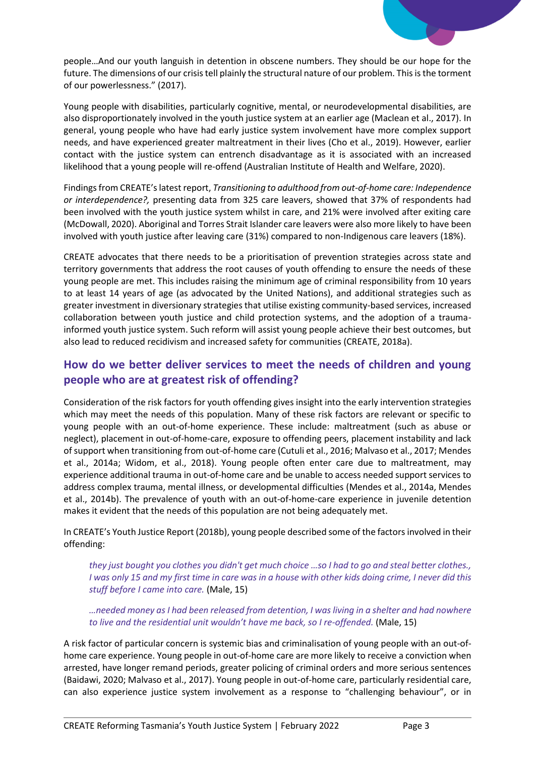

people…And our youth languish in detention in obscene numbers. They should be our hope for the future. The dimensions of our crisis tell plainly the structural nature of our problem. This is the torment of our powerlessness." (2017).

Young people with disabilities, particularly cognitive, mental, or neurodevelopmental disabilities, are also disproportionately involved in the youth justice system at an earlier age (Maclean et al., 2017). In general, young people who have had early justice system involvement have more complex support needs, and have experienced greater maltreatment in their lives (Cho et al., 2019). However, earlier contact with the justice system can entrench disadvantage as it is associated with an increased likelihood that a young people will re-offend (Australian Institute of Health and Welfare, 2020).

Findings from CREATE's latest report, *Transitioning to adulthood from out-of-home care: Independence or interdependence?,* presenting data from 325 care leavers, showed that 37% of respondents had been involved with the youth justice system whilst in care, and 21% were involved after exiting care (McDowall, 2020). Aboriginal and Torres Strait Islander care leavers were also more likely to have been involved with youth justice after leaving care (31%) compared to non-Indigenous care leavers (18%).

CREATE advocates that there needs to be a prioritisation of prevention strategies across state and territory governments that address the root causes of youth offending to ensure the needs of these young people are met. This includes raising the minimum age of criminal responsibility from 10 years to at least 14 years of age (as advocated by the United Nations), and additional strategies such as greater investment in diversionary strategies that utilise existing community-based services, increased collaboration between youth justice and child protection systems, and the adoption of a traumainformed youth justice system. Such reform will assist young people achieve their best outcomes, but also lead to reduced recidivism and increased safety for communities (CREATE, 2018a).

# **How do we better deliver services to meet the needs of children and young people who are at greatest risk of offending?**

Consideration of the risk factors for youth offending gives insight into the early intervention strategies which may meet the needs of this population. Many of these risk factors are relevant or specific to young people with an out-of-home experience. These include: maltreatment (such as abuse or neglect), placement in out-of-home-care, exposure to offending peers, placement instability and lack of support when transitioning from out-of-home care (Cutuli et al., 2016; Malvaso et al., 2017; Mendes et al., 2014a; Widom, et al., 2018). Young people often enter care due to maltreatment, may experience additional trauma in out-of-home care and be unable to access needed support services to address complex trauma, mental illness, or developmental difficulties (Mendes et al., 2014a, Mendes et al., 2014b). The prevalence of youth with an out-of-home-care experience in juvenile detention makes it evident that the needs of this population are not being adequately met.

In CREATE's Youth Justice Report (2018b), young people described some of the factors involved in their offending:

*they just bought you clothes you didn't get much choice …so I had to go and steal better clothes., I was only 15 and my first time in care was in a house with other kids doing crime, I never did this stuff before I came into care.* (Male, 15)

*…needed money as I had been released from detention, I was living in a shelter and had nowhere to live and the residential unit wouldn't have me back, so I re-offended.* (Male, 15)

A risk factor of particular concern is systemic bias and criminalisation of young people with an out-ofhome care experience. Young people in out-of-home care are more likely to receive a conviction when arrested, have longer remand periods, greater policing of criminal orders and more serious sentences (Baidawi, 2020; Malvaso et al., 2017). Young people in out-of-home care, particularly residential care, can also experience justice system involvement as a response to "challenging behaviour", or in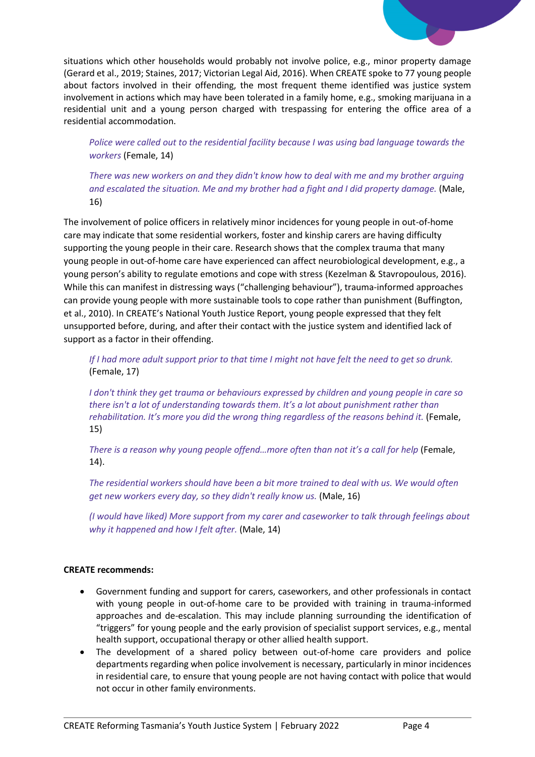

situations which other households would probably not involve police, e.g., minor property damage (Gerard et al., 2019; Staines, 2017; Victorian Legal Aid, 2016). When CREATE spoke to 77 young people about factors involved in their offending, the most frequent theme identified was justice system involvement in actions which may have been tolerated in a family home, e.g., smoking marijuana in a residential unit and a young person charged with trespassing for entering the office area of a residential accommodation.

*Police were called out to the residential facility because I was using bad language towards the workers* (Female, 14)

*There was new workers on and they didn't know how to deal with me and my brother arguing and escalated the situation. Me and my brother had a fight and I did property damage.* (Male, 16)

The involvement of police officers in relatively minor incidences for young people in out-of-home care may indicate that some residential workers, foster and kinship carers are having difficulty supporting the young people in their care. Research shows that the complex trauma that many young people in out-of-home care have experienced can affect neurobiological development, e.g., a young person's ability to regulate emotions and cope with stress (Kezelman & Stavropoulous, 2016). While this can manifest in distressing ways ("challenging behaviour"), trauma-informed approaches can provide young people with more sustainable tools to cope rather than punishment (Buffington, et al., 2010). In CREATE's National Youth Justice Report, young people expressed that they felt unsupported before, during, and after their contact with the justice system and identified lack of support as a factor in their offending.

*If I had more adult support prior to that time I might not have felt the need to get so drunk.* (Female, 17)

*I don't think they get trauma or behaviours expressed by children and young people in care so there isn't a lot of understanding towards them. It's a lot about punishment rather than rehabilitation. It's more you did the wrong thing regardless of the reasons behind it.* (Female, 15)

*There is a reason why young people offend...more often than not it's a call for help* (Female, 14).

*The residential workers should have been a bit more trained to deal with us. We would often get new workers every day, so they didn't really know us.* (Male, 16)

*(I would have liked) More support from my carer and caseworker to talk through feelings about why it happened and how I felt after.* (Male, 14)

### **CREATE recommends:**

- Government funding and support for carers, caseworkers, and other professionals in contact with young people in out-of-home care to be provided with training in trauma-informed approaches and de-escalation. This may include planning surrounding the identification of "triggers" for young people and the early provision of specialist support services, e.g., mental health support, occupational therapy or other allied health support.
- The development of a shared policy between out-of-home care providers and police departments regarding when police involvement is necessary, particularly in minor incidences in residential care, to ensure that young people are not having contact with police that would not occur in other family environments.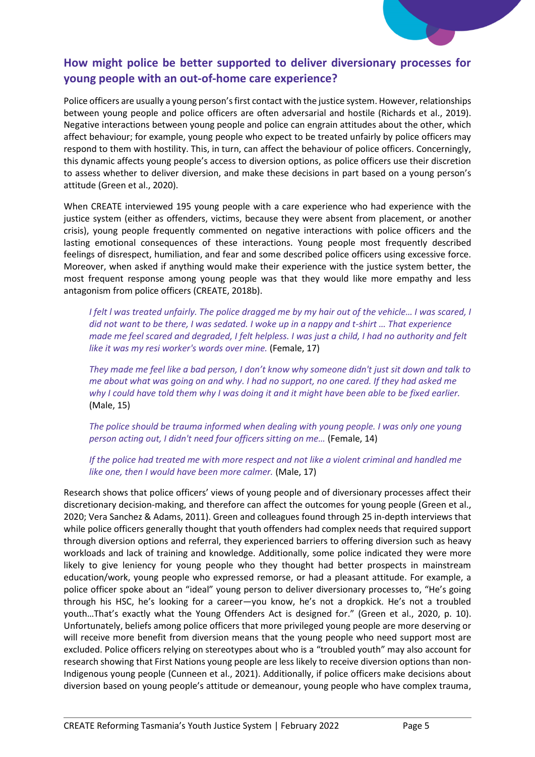# **How might police be better supported to deliver diversionary processes for young people with an out-of-home care experience?**

Police officers are usually a young person's first contact with the justice system. However, relationships between young people and police officers are often adversarial and hostile (Richards et al., 2019). Negative interactions between young people and police can engrain attitudes about the other, which affect behaviour; for example, young people who expect to be treated unfairly by police officers may respond to them with hostility. This, in turn, can affect the behaviour of police officers. Concerningly, this dynamic affects young people's access to diversion options, as police officers use their discretion to assess whether to deliver diversion, and make these decisions in part based on a young person's attitude (Green et al., 2020).

When CREATE interviewed 195 young people with a care experience who had experience with the justice system (either as offenders, victims, because they were absent from placement, or another crisis), young people frequently commented on negative interactions with police officers and the lasting emotional consequences of these interactions. Young people most frequently described feelings of disrespect, humiliation, and fear and some described police officers using excessive force. Moreover, when asked if anything would make their experience with the justice system better, the most frequent response among young people was that they would like more empathy and less antagonism from police officers (CREATE, 2018b).

*I felt l was treated unfairly. The police dragged me by my hair out of the vehicle… I was scared, I did not want to be there, I was sedated. I woke up in a nappy and t-shirt … That experience made me feel scared and degraded, I felt helpless. I was just a child, I had no authority and felt like it was my resi worker's words over mine.* (Female, 17)

*They made me feel like a bad person, I don't know why someone didn't just sit down and talk to me about what was going on and why. I had no support, no one cared. If they had asked me why I could have told them why I was doing it and it might have been able to be fixed earlier.*  (Male, 15)

*The police should be trauma informed when dealing with young people. I was only one young person acting out, I didn't need four officers sitting on me…* (Female, 14)

*If the police had treated me with more respect and not like a violent criminal and handled me like one, then I would have been more calmer.* (Male, 17)

Research shows that police officers' views of young people and of diversionary processes affect their discretionary decision-making, and therefore can affect the outcomes for young people (Green et al., 2020; Vera Sanchez & Adams, 2011). Green and colleagues found through 25 in-depth interviews that while police officers generally thought that youth offenders had complex needs that required support through diversion options and referral, they experienced barriers to offering diversion such as heavy workloads and lack of training and knowledge. Additionally, some police indicated they were more likely to give leniency for young people who they thought had better prospects in mainstream education/work, young people who expressed remorse, or had a pleasant attitude. For example, a police officer spoke about an "ideal" young person to deliver diversionary processes to, "He's going through his HSC, he's looking for a career—you know, he's not a dropkick. He's not a troubled youth…That's exactly what the Young Offenders Act is designed for." (Green et al., 2020, p. 10). Unfortunately, beliefs among police officers that more privileged young people are more deserving or will receive more benefit from diversion means that the young people who need support most are excluded. Police officers relying on stereotypes about who is a "troubled youth" may also account for research showing that First Nations young people are less likely to receive diversion options than non-Indigenous young people (Cunneen et al., 2021). Additionally, if police officers make decisions about diversion based on young people's attitude or demeanour, young people who have complex trauma,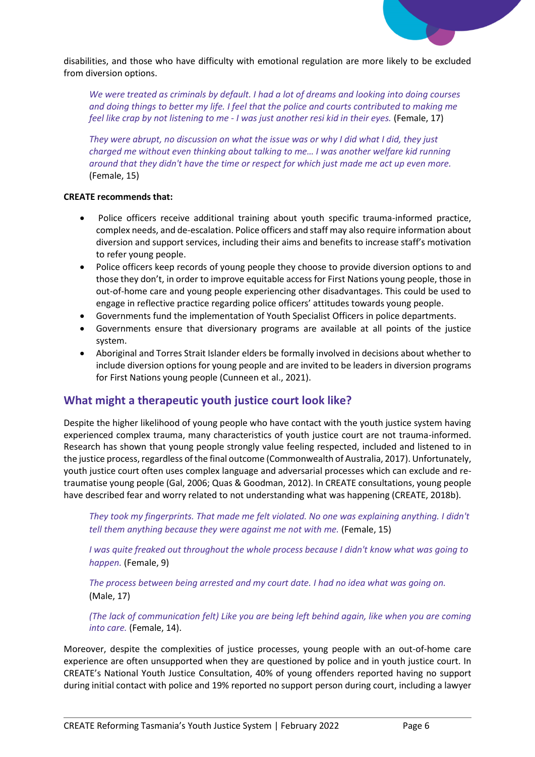

disabilities, and those who have difficulty with emotional regulation are more likely to be excluded from diversion options.

*We were treated as criminals by default. I had a lot of dreams and looking into doing courses and doing things to better my life. I feel that the police and courts contributed to making me feel like crap by not listening to me - I was just another resi kid in their eyes.* (Female, 17)

*They were abrupt, no discussion on what the issue was or why I did what I did, they just charged me without even thinking about talking to me… I was another welfare kid running around that they didn't have the time or respect for which just made me act up even more.* (Female, 15)

#### **CREATE recommends that:**

- Police officers receive additional training about youth specific trauma-informed practice, complex needs, and de-escalation. Police officers and staff may also require information about diversion and support services, including their aims and benefits to increase staff's motivation to refer young people.
- Police officers keep records of young people they choose to provide diversion options to and those they don't, in order to improve equitable access for First Nations young people, those in out-of-home care and young people experiencing other disadvantages. This could be used to engage in reflective practice regarding police officers' attitudes towards young people.
- Governments fund the implementation of Youth Specialist Officers in police departments.
- Governments ensure that diversionary programs are available at all points of the justice system.
- Aboriginal and Torres Strait Islander elders be formally involved in decisions about whether to include diversion options for young people and are invited to be leaders in diversion programs for First Nations young people (Cunneen et al., 2021).

### **What might a therapeutic youth justice court look like?**

Despite the higher likelihood of young people who have contact with the youth justice system having experienced complex trauma, many characteristics of youth justice court are not trauma-informed. Research has shown that young people strongly value feeling respected, included and listened to in the justice process, regardless of the final outcome (Commonwealth of Australia, 2017). Unfortunately, youth justice court often uses complex language and adversarial processes which can exclude and retraumatise young people (Gal, 2006; Quas & Goodman, 2012). In CREATE consultations, young people have described fear and worry related to not understanding what was happening (CREATE, 2018b).

*They took my fingerprints. That made me felt violated. No one was explaining anything. I didn't tell them anything because they were against me not with me.* (Female, 15)

*I was quite freaked out throughout the whole process because I didn't know what was going to happen.* (Female, 9)

*The process between being arrested and my court date. I had no idea what was going on.*  (Male, 17)

*(The lack of communication felt) Like you are being left behind again, like when you are coming into care.* (Female, 14).

Moreover, despite the complexities of justice processes, young people with an out-of-home care experience are often unsupported when they are questioned by police and in youth justice court. In CREATE's National Youth Justice Consultation, 40% of young offenders reported having no support during initial contact with police and 19% reported no support person during court, including a lawyer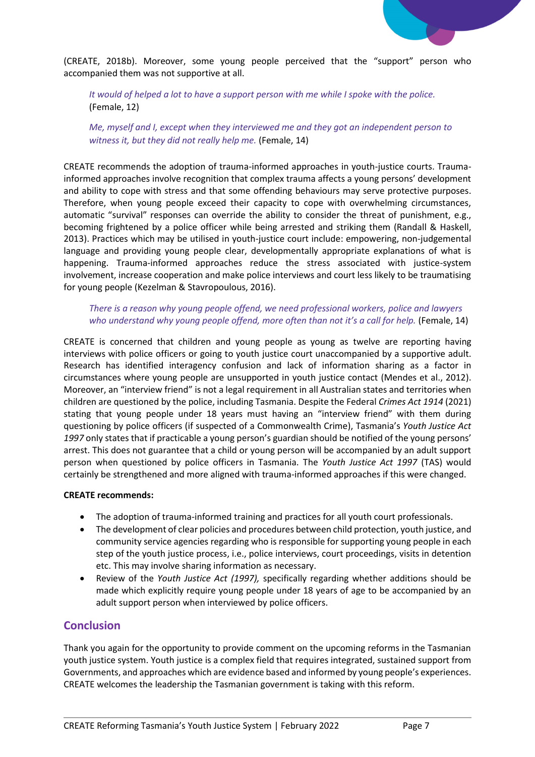

(CREATE, 2018b). Moreover, some young people perceived that the "support" person who accompanied them was not supportive at all.

*It would of helped a lot to have a support person with me while I spoke with the police.*  (Female, 12)

*Me, myself and I, except when they interviewed me and they got an independent person to witness it, but they did not really help me.* (Female, 14)

CREATE recommends the adoption of trauma-informed approaches in youth-justice courts. Traumainformed approaches involve recognition that complex trauma affects a young persons' development and ability to cope with stress and that some offending behaviours may serve protective purposes. Therefore, when young people exceed their capacity to cope with overwhelming circumstances, automatic "survival" responses can override the ability to consider the threat of punishment, e.g., becoming frightened by a police officer while being arrested and striking them (Randall & Haskell, 2013). Practices which may be utilised in youth-justice court include: empowering, non-judgemental language and providing young people clear, developmentally appropriate explanations of what is happening. Trauma-informed approaches reduce the stress associated with justice-system involvement, increase cooperation and make police interviews and court less likely to be traumatising for young people (Kezelman & Stavropoulous, 2016).

### *There is a reason why young people offend, we need professional workers, police and lawyers who understand why young people offend, more often than not it's a call for help.* (Female, 14)

CREATE is concerned that children and young people as young as twelve are reporting having interviews with police officers or going to youth justice court unaccompanied by a supportive adult. Research has identified interagency confusion and lack of information sharing as a factor in circumstances where young people are unsupported in youth justice contact (Mendes et al., 2012). Moreover, an "interview friend" is not a legal requirement in all Australian states and territories when children are questioned by the police, including Tasmania. Despite the Federal *Crimes Act 1914* (2021) stating that young people under 18 years must having an "interview friend" with them during questioning by police officers (if suspected of a Commonwealth Crime), Tasmania's *Youth Justice Act 1997* only states that if practicable a young person's guardian should be notified of the young persons' arrest. This does not guarantee that a child or young person will be accompanied by an adult support person when questioned by police officers in Tasmania. The *Youth Justice Act 1997* (TAS) would certainly be strengthened and more aligned with trauma-informed approaches if this were changed.

#### **CREATE recommends:**

- The adoption of trauma-informed training and practices for all youth court professionals.
- The development of clear policies and procedures between child protection, youth justice, and community service agencies regarding who is responsible for supporting young people in each step of the youth justice process, i.e., police interviews, court proceedings, visits in detention etc. This may involve sharing information as necessary.
- Review of the *Youth Justice Act (1997),* specifically regarding whether additions should be made which explicitly require young people under 18 years of age to be accompanied by an adult support person when interviewed by police officers.

### **Conclusion**

Thank you again for the opportunity to provide comment on the upcoming reforms in the Tasmanian youth justice system. Youth justice is a complex field that requires integrated, sustained support from Governments, and approaches which are evidence based and informed by young people's experiences. CREATE welcomes the leadership the Tasmanian government is taking with this reform.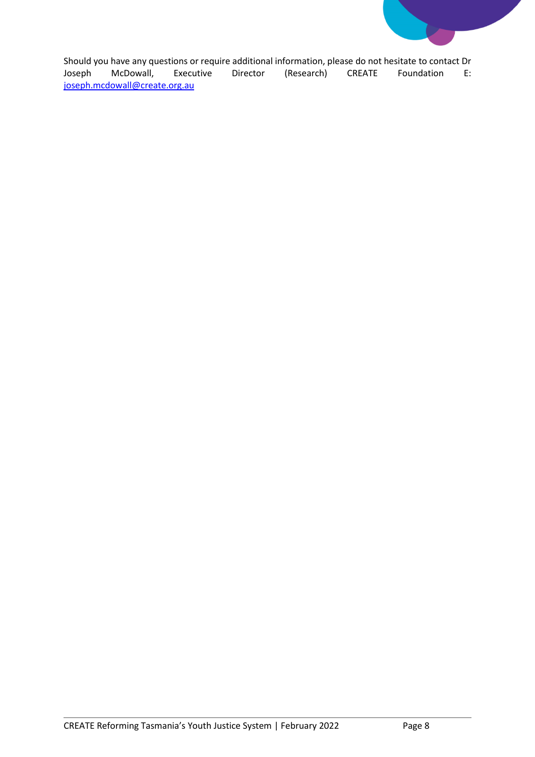

Should you have any questions or require additional information, please do not hesitate to contact Dr<br>Joseph McDowall, Executive Director (Research) CREATE Foundation E: (Research) [joseph.mcdowall@create.org.au](mailto:joseph.mcdowall@create.org.au)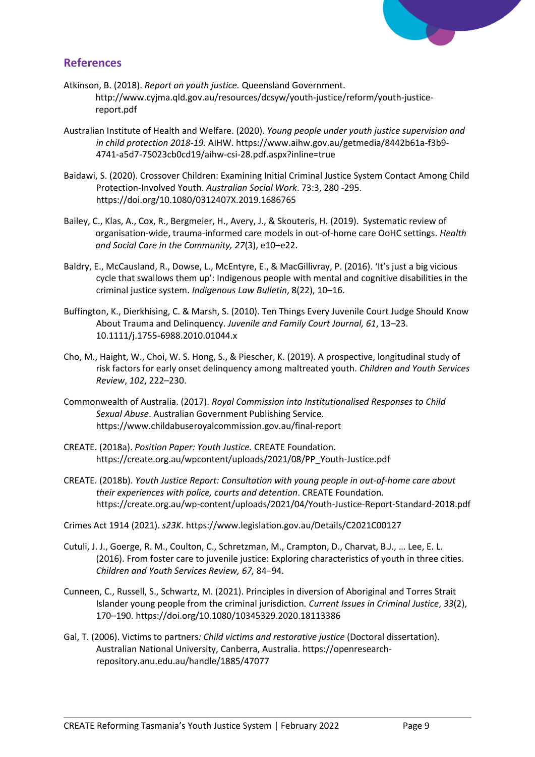

# **References**

- Atkinson, B. (2018). *Report on youth justice.* Queensland Government. http://www.cyjma.qld.gov.au/resources/dcsyw/youth-justice/reform/youth-justicereport.pdf
- Australian Institute of Health and Welfare. (2020). *Young people under youth justice supervision and in child protection 2018-19.* AIHW. https://www.aihw.gov.au/getmedia/8442b61a-f3b9- 4741-a5d7-75023cb0cd19/aihw-csi-28.pdf.aspx?inline=true
- Baidawi, S. (2020). Crossover Children: Examining Initial Criminal Justice System Contact Among Child Protection-Involved Youth. *Australian Social Work*. 73:3, 280 -295. <https://doi.org/10.1080/0312407X.2019.1686765>
- Bailey, C., Klas, A., Cox, R., Bergmeier, H., Avery, J., & Skouteris, H. (2019). Systematic review of organisation-wide, trauma-informed care models in out-of-home care OoHC settings. *Health and Social Care in the Community, 27*(3), e10–e22.
- Baldry, E., McCausland, R., Dowse, L., McEntyre, E., & MacGillivray, P. (2016). 'It's just a big vicious cycle that swallows them up': Indigenous people with mental and cognitive disabilities in the criminal justice system. *Indigenous Law Bulletin*, 8(22), 10–16.
- Buffington, K., Dierkhising, C. & Marsh, S. (2010). Ten Things Every Juvenile Court Judge Should Know About Trauma and Delinquency. *Juvenile and Family Court Journal, 61*, 13–23. 10.1111/j.1755-6988.2010.01044.x
- Cho, M., Haight, W., Choi, W. S. Hong, S., & Piescher, K. (2019). A prospective, longitudinal study of risk factors for early onset delinquency among maltreated youth. *Children and Youth Services Review*, *102*, 222–230.
- Commonwealth of Australia. (2017). *Royal Commission into Institutionalised Responses to Child Sexual Abuse*. Australian Government Publishing Service. <https://www.childabuseroyalcommission.gov.au/final-report>
- CREATE. (2018a). *Position Paper: Youth Justice.* CREATE Foundation. https://create.org.au/wpcontent/uploads/2021/08/PP\_Youth-Justice.pdf
- CREATE. (2018b). *Youth Justice Report: Consultation with young people in out-of-home care about their experiences with police, courts and detention*. CREATE Foundation. <https://create.org.au/wp-content/uploads/2021/04/Youth-Justice-Report-Standard-2018.pdf>
- Crimes Act 1914 (2021). *s23K*. https://www.legislation.gov.au/Details/C2021C00127
- Cutuli, J. J., Goerge, R. M., Coulton, C., Schretzman, M., Crampton, D., Charvat, B.J., … Lee, E. L. (2016). From foster care to juvenile justice: Exploring characteristics of youth in three cities*. Children and Youth Services Review, 67,* 84–94.
- Cunneen, C., Russell, S., Schwartz, M. (2021). Principles in diversion of Aboriginal and Torres Strait Islander young people from the criminal jurisdiction*. Current Issues in Criminal Justice*, *33*(2), 170–190. https://doi.org/10.1080/10345329.2020.18113386
- Gal, T. (2006). Victims to partners*: Child victims and restorative justice* (Doctoral dissertation). Australian National University, Canberra, Australia. https://openresearchrepository.anu.edu.au/handle/1885/47077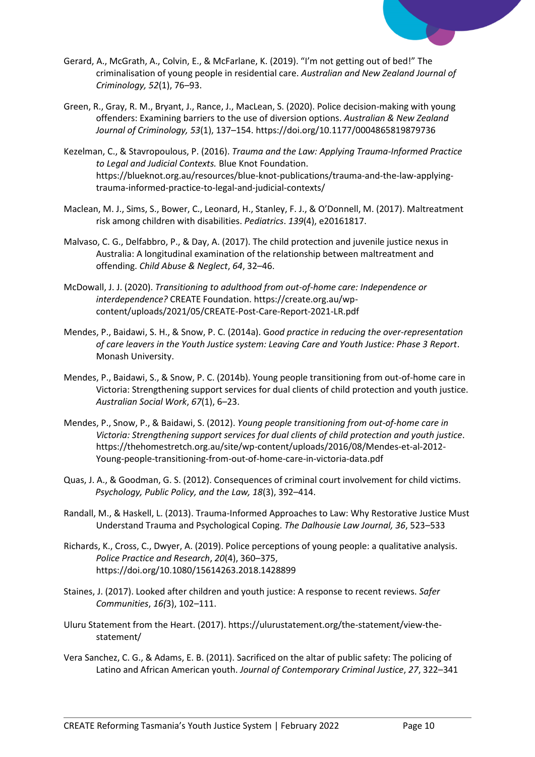

- Gerard, A., McGrath, A., Colvin, E., & McFarlane, K. (2019). "I'm not getting out of bed!" The criminalisation of young people in residential care. *Australian and New Zealand Journal of Criminology, 52*(1), 76–93.
- Green, R., Gray, R. M., Bryant, J., Rance, J., MacLean, S. (2020). Police decision-making with young offenders: Examining barriers to the use of diversion options. *Australian & New Zealand Journal of Criminology, 53*(1), 137–154[. https://doi.org/10.1177/0004865819879736](https://doi.org/10.1177%2F0004865819879736)
- Kezelman, C., & Stavropoulous, P. (2016). *Trauma and the Law: Applying Trauma-Informed Practice to Legal and Judicial Contexts.* Blue Knot Foundation. https://blueknot.org.au/resources/blue-knot-publications/trauma-and-the-law-applyingtrauma-informed-practice-to-legal-and-judicial-contexts/
- Maclean, M. J., Sims, S., Bower, C., Leonard, H., Stanley, F. J., & O'Donnell, M. (2017). Maltreatment risk among children with disabilities. *Pediatrics*. *139*(4), e20161817.
- Malvaso, C. G., Delfabbro, P., & Day, A. (2017). The child protection and juvenile justice nexus in Australia: A longitudinal examination of the relationship between maltreatment and offending. *Child Abuse & Neglect*, *64*, 32–46.
- McDowall, J. J. (2020). *Transitioning to adulthood from out-of-home care: Independence or interdependence?* CREATE Foundation. https://create.org.au/wpcontent/uploads/2021/05/CREATE-Post-Care-Report-2021-LR.pdf
- Mendes, P., Baidawi, S. H., & Snow, P. C. (2014a). G*ood practice in reducing the over-representation of care leavers in the Youth Justice system: Leaving Care and Youth Justice: Phase 3 Report*. Monash University.
- Mendes, P., Baidawi, S., & Snow, P. C. (2014b). Young people transitioning from out-of-home care in Victoria: Strengthening support services for dual clients of child protection and youth justice. *Australian Social Work*, *67*(1), 6–23.
- Mendes, P., Snow, P., & Baidawi, S. (2012). *Young people transitioning from out-of-home care in Victoria: Strengthening support services for dual clients of child protection and youth justice*. https://thehomestretch.org.au/site/wp-content/uploads/2016/08/Mendes-et-al-2012- Young-people-transitioning-from-out-of-home-care-in-victoria-data.pdf
- Quas, J. A., & Goodman, G. S. (2012). Consequences of criminal court involvement for child victims. *Psychology, Public Policy, and the Law, 18*(3), 392–414.
- Randall, M., & Haskell, L. (2013). Trauma-Informed Approaches to Law: Why Restorative Justice Must Understand Trauma and Psychological Coping. *The Dalhousie Law Journal, 36*, 523–533
- Richards, K., Cross, C., Dwyer, A. (2019). Police perceptions of young people: a qualitative analysis. *Police Practice and Research*, *20*(4), 360–375, https://doi.org/10.1080/15614263.2018.1428899
- Staines, J. (2017). Looked after children and youth justice: A response to recent reviews. *Safer Communities*, *16(*3), 102–111.
- Uluru Statement from the Heart. (2017). https://ulurustatement.org/the-statement/view-thestatement/
- Vera Sanchez, C. G., & Adams, E. B. (2011). Sacrificed on the altar of public safety: The policing of Latino and African American youth. *Journal of Contemporary Criminal Justice*, *27*, 322–341